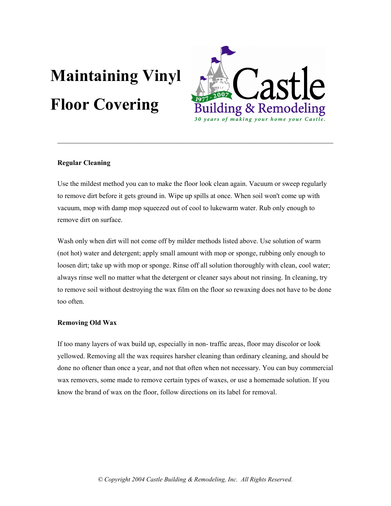# Maintaining Vinyl Floor Covering



## Regular Cleaning

Use the mildest method you can to make the floor look clean again. Vacuum or sweep regularly to remove dirt before it gets ground in. Wipe up spills at once. When soil won't come up with vacuum, mop with damp mop squeezed out of cool to lukewarm water. Rub only enough to remove dirt on surface.

 $\_$  , and the contribution of the contribution of  $\mathcal{L}_\mathcal{A}$  , and the contribution of  $\mathcal{L}_\mathcal{A}$ 

Wash only when dirt will not come off by milder methods listed above. Use solution of warm (not hot) water and detergent; apply small amount with mop or sponge, rubbing only enough to loosen dirt; take up with mop or sponge. Rinse off all solution thoroughly with clean, cool water; always rinse well no matter what the detergent or cleaner says about not rinsing. In cleaning, try to remove soil without destroying the wax film on the floor so rewaxing does not have to be done too often.

### Removing Old Wax

If too many layers of wax build up, especially in non- traffic areas, floor may discolor or look yellowed. Removing all the wax requires harsher cleaning than ordinary cleaning, and should be done no oftener than once a year, and not that often when not necessary. You can buy commercial wax removers, some made to remove certain types of waxes, or use a homemade solution. If you know the brand of wax on the floor, follow directions on its label for removal.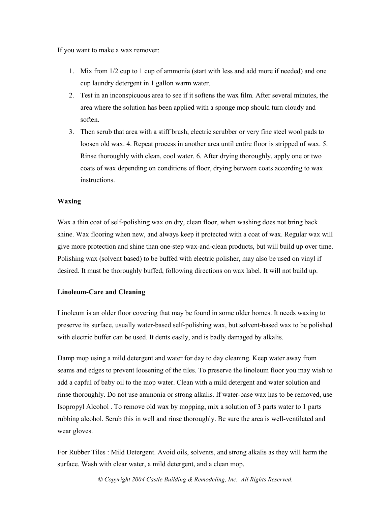If you want to make a wax remover:

- 1. Mix from 1/2 cup to 1 cup of ammonia (start with less and add more if needed) and one cup laundry detergent in 1 gallon warm water.
- 2. Test in an inconspicuous area to see if it softens the wax film. After several minutes, the area where the solution has been applied with a sponge mop should turn cloudy and soften.
- 3. Then scrub that area with a stiff brush, electric scrubber or very fine steel wool pads to loosen old wax. 4. Repeat process in another area until entire floor is stripped of wax. 5. Rinse thoroughly with clean, cool water. 6. After drying thoroughly, apply one or two coats of wax depending on conditions of floor, drying between coats according to wax instructions.

#### Waxing

Wax a thin coat of self-polishing wax on dry, clean floor, when washing does not bring back shine. Wax flooring when new, and always keep it protected with a coat of wax. Regular wax will give more protection and shine than one-step wax-and-clean products, but will build up over time. Polishing wax (solvent based) to be buffed with electric polisher, may also be used on vinyl if desired. It must be thoroughly buffed, following directions on wax label. It will not build up.

## Linoleum-Care and Cleaning

Linoleum is an older floor covering that may be found in some older homes. It needs waxing to preserve its surface, usually water-based self-polishing wax, but solvent-based wax to be polished with electric buffer can be used. It dents easily, and is badly damaged by alkalis.

Damp mop using a mild detergent and water for day to day cleaning. Keep water away from seams and edges to prevent loosening of the tiles. To preserve the linoleum floor you may wish to add a capful of baby oil to the mop water. Clean with a mild detergent and water solution and rinse thoroughly. Do not use ammonia or strong alkalis. If water-base wax has to be removed, use Isopropyl Alcohol . To remove old wax by mopping, mix a solution of 3 parts water to 1 parts rubbing alcohol. Scrub this in well and rinse thoroughly. Be sure the area is well-ventilated and wear gloves.

For Rubber Tiles : Mild Detergent. Avoid oils, solvents, and strong alkalis as they will harm the surface. Wash with clear water, a mild detergent, and a clean mop.

© Copyright 2004 Castle Building & Remodeling, Inc. All Rights Reserved.